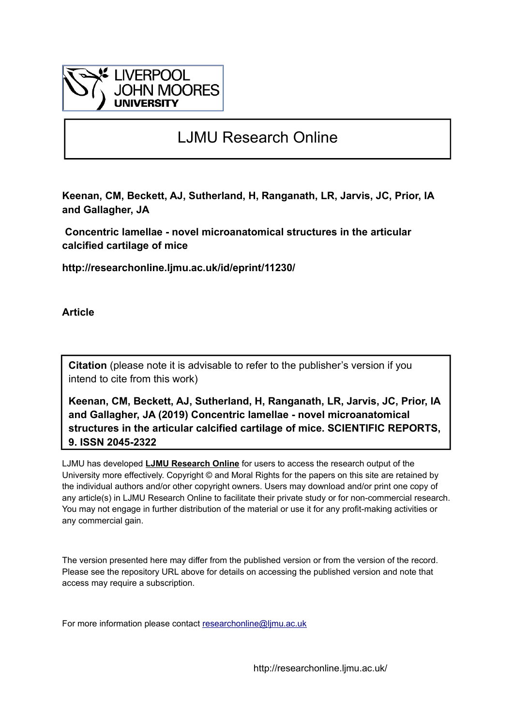

# LJMU Research Online

**Keenan, CM, Beckett, AJ, Sutherland, H, Ranganath, LR, Jarvis, JC, Prior, IA and Gallagher, JA**

 **Concentric lamellae - novel microanatomical structures in the articular calcified cartilage of mice**

**http://researchonline.ljmu.ac.uk/id/eprint/11230/**

**Article**

**Citation** (please note it is advisable to refer to the publisher's version if you intend to cite from this work)

**Keenan, CM, Beckett, AJ, Sutherland, H, Ranganath, LR, Jarvis, JC, Prior, IA and Gallagher, JA (2019) Concentric lamellae - novel microanatomical structures in the articular calcified cartilage of mice. SCIENTIFIC REPORTS, 9. ISSN 2045-2322** 

LJMU has developed **[LJMU Research Online](http://researchonline.ljmu.ac.uk/)** for users to access the research output of the University more effectively. Copyright © and Moral Rights for the papers on this site are retained by the individual authors and/or other copyright owners. Users may download and/or print one copy of any article(s) in LJMU Research Online to facilitate their private study or for non-commercial research. You may not engage in further distribution of the material or use it for any profit-making activities or any commercial gain.

The version presented here may differ from the published version or from the version of the record. Please see the repository URL above for details on accessing the published version and note that access may require a subscription.

For more information please contact researchonline@limu.ac.uk

http://researchonline.ljmu.ac.uk/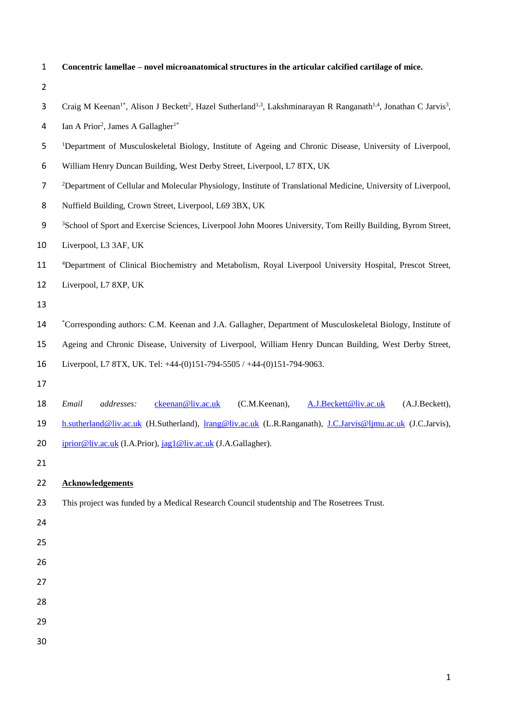| $\mathbf{1}$   | Concentric lamellae – novel microanatomical structures in the articular calcified cartilage of mice.                                                                          |
|----------------|-------------------------------------------------------------------------------------------------------------------------------------------------------------------------------|
| $\overline{2}$ |                                                                                                                                                                               |
| 3              | Craig M Keenan <sup>1*</sup> , Alison J Beckett <sup>2</sup> , Hazel Sutherland <sup>1,3</sup> , Lakshminarayan R Ranganath <sup>1,4</sup> , Jonathan C Jarvis <sup>3</sup> , |
| 4              | Ian A Prior <sup>2</sup> , James A Gallagher <sup>1*</sup>                                                                                                                    |
| 5              | <sup>1</sup> Department of Musculoskeletal Biology, Institute of Ageing and Chronic Disease, University of Liverpool,                                                         |
| 6              | William Henry Duncan Building, West Derby Street, Liverpool, L7 8TX, UK                                                                                                       |
| $\overline{7}$ | <sup>2</sup> Department of Cellular and Molecular Physiology, Institute of Translational Medicine, University of Liverpool,                                                   |
| 8              | Nuffield Building, Crown Street, Liverpool, L69 3BX, UK                                                                                                                       |
| 9              | <sup>3</sup> School of Sport and Exercise Sciences, Liverpool John Moores University, Tom Reilly Building, Byrom Street,                                                      |
| 10             | Liverpool, L3 3AF, UK                                                                                                                                                         |
| 11             | <sup>4</sup> Department of Clinical Biochemistry and Metabolism, Royal Liverpool University Hospital, Prescot Street,                                                         |
| 12             | Liverpool, L7 8XP, UK                                                                                                                                                         |
| 13             |                                                                                                                                                                               |
| 14             | *Corresponding authors: C.M. Keenan and J.A. Gallagher, Department of Musculoskeletal Biology, Institute of                                                                   |
| 15             | Ageing and Chronic Disease, University of Liverpool, William Henry Duncan Building, West Derby Street,                                                                        |
| 16             | Liverpool, L7 8TX, UK. Tel: +44-(0)151-794-5505 / +44-(0)151-794-9063.                                                                                                        |
| 17             |                                                                                                                                                                               |
| 18             | Email<br>ckeenan@liv.ac.uk<br>(C.M.Keenan),<br>A.J.Beckett@liv.ac.uk<br>addresses:<br>(A.J.Beckett),                                                                          |
| 19             | h.sutherland@liv.ac.uk (H.Sutherland), lrang@liv.ac.uk (L.R.Ranganath), J.C.Jarvis@ljmu.ac.uk (J.C.Jarvis),                                                                   |
| 20             | iprior@liv.ac.uk (I.A.Prior), jag1@liv.ac.uk (J.A.Gallagher).                                                                                                                 |
| 21             |                                                                                                                                                                               |
| 22             | <b>Acknowledgements</b>                                                                                                                                                       |
| 23             | This project was funded by a Medical Research Council studentship and The Rosetrees Trust.                                                                                    |
| 24             |                                                                                                                                                                               |
| 25             |                                                                                                                                                                               |
| 26             |                                                                                                                                                                               |
| 27             |                                                                                                                                                                               |
| 28             |                                                                                                                                                                               |
| 29             |                                                                                                                                                                               |
| 30             |                                                                                                                                                                               |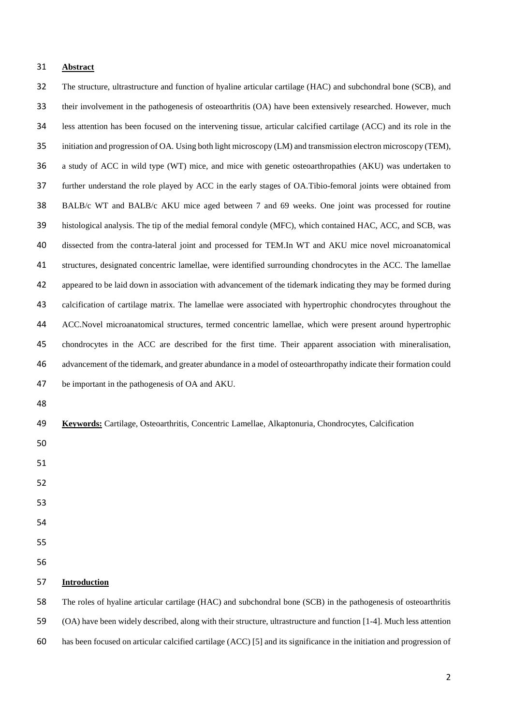## **Abstract**

 The structure, ultrastructure and function of hyaline articular cartilage (HAC) and subchondral bone (SCB), and their involvement in the pathogenesis of osteoarthritis (OA) have been extensively researched. However, much less attention has been focused on the intervening tissue, articular calcified cartilage (ACC) and its role in the initiation and progression of OA. Using both light microscopy (LM) and transmission electron microscopy (TEM), a study of ACC in wild type (WT) mice, and mice with genetic osteoarthropathies (AKU) was undertaken to further understand the role played by ACC in the early stages of OA.Tibio-femoral joints were obtained from BALB/c WT and BALB/c AKU mice aged between 7 and 69 weeks. One joint was processed for routine histological analysis. The tip of the medial femoral condyle (MFC), which contained HAC, ACC, and SCB, was dissected from the contra-lateral joint and processed for TEM.In WT and AKU mice novel microanatomical structures, designated concentric lamellae, were identified surrounding chondrocytes in the ACC. The lamellae appeared to be laid down in association with advancement of the tidemark indicating they may be formed during calcification of cartilage matrix. The lamellae were associated with hypertrophic chondrocytes throughout the ACC.Novel microanatomical structures, termed concentric lamellae, which were present around hypertrophic chondrocytes in the ACC are described for the first time. Their apparent association with mineralisation, advancement of the tidemark, and greater abundance in a model of osteoarthropathy indicate their formation could be important in the pathogenesis of OA and AKU. **Keywords:** Cartilage, Osteoarthritis, Concentric Lamellae, Alkaptonuria, Chondrocytes, Calcification 

- 
- 
- 
- 
- 
- 
- 

# **Introduction**

 The roles of hyaline articular cartilage (HAC) and subchondral bone (SCB) in the pathogenesis of osteoarthritis (OA) have been widely described, along with their structure, ultrastructure and function [1-4]. Much less attention has been focused on articular calcified cartilage (ACC) [5] and its significance in the initiation and progression of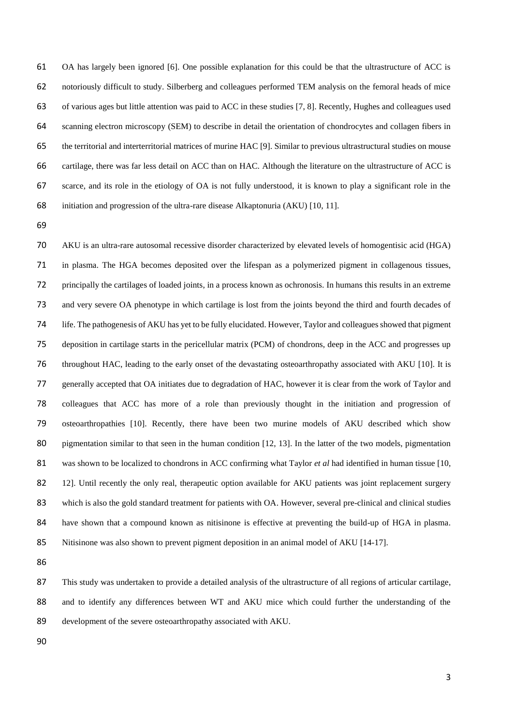OA has largely been ignored [6]. One possible explanation for this could be that the ultrastructure of ACC is notoriously difficult to study. Silberberg and colleagues performed TEM analysis on the femoral heads of mice of various ages but little attention was paid to ACC in these studies [7, 8]. Recently, Hughes and colleagues used scanning electron microscopy (SEM) to describe in detail the orientation of chondrocytes and collagen fibers in the territorial and interterritorial matrices of murine HAC [9]. Similar to previous ultrastructural studies on mouse cartilage, there was far less detail on ACC than on HAC. Although the literature on the ultrastructure of ACC is scarce, and its role in the etiology of OA is not fully understood, it is known to play a significant role in the initiation and progression of the ultra-rare disease Alkaptonuria (AKU) [10, 11].

 AKU is an ultra-rare autosomal recessive disorder characterized by elevated levels of homogentisic acid (HGA) in plasma. The HGA becomes deposited over the lifespan as a polymerized pigment in collagenous tissues, principally the cartilages of loaded joints, in a process known as ochronosis. In humans this results in an extreme and very severe OA phenotype in which cartilage is lost from the joints beyond the third and fourth decades of life. The pathogenesis of AKU has yet to be fully elucidated. However, Taylor and colleagues showed that pigment deposition in cartilage starts in the pericellular matrix (PCM) of chondrons, deep in the ACC and progresses up throughout HAC, leading to the early onset of the devastating osteoarthropathy associated with AKU [10]. It is generally accepted that OA initiates due to degradation of HAC, however it is clear from the work of Taylor and colleagues that ACC has more of a role than previously thought in the initiation and progression of osteoarthropathies [10]. Recently, there have been two murine models of AKU described which show 80 pigmentation similar to that seen in the human condition [12, 13]. In the latter of the two models, pigmentation was shown to be localized to chondrons in ACC confirming what Taylor *et al* had identified in human tissue [10, 82 12]. Until recently the only real, therapeutic option available for AKU patients was joint replacement surgery 83 which is also the gold standard treatment for patients with OA. However, several pre-clinical and clinical studies 84 have shown that a compound known as nitisinone is effective at preventing the build-up of HGA in plasma. Nitisinone was also shown to prevent pigment deposition in an animal model of AKU [14-17].

 This study was undertaken to provide a detailed analysis of the ultrastructure of all regions of articular cartilage, and to identify any differences between WT and AKU mice which could further the understanding of the development of the severe osteoarthropathy associated with AKU.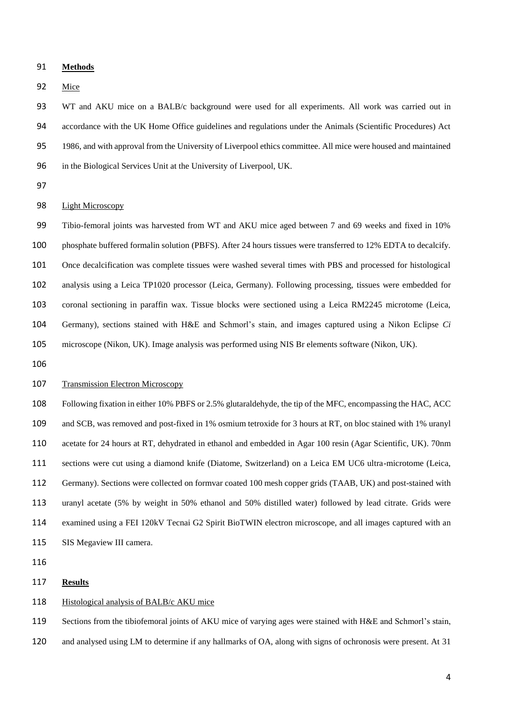#### **Methods**

Mice

 WT and AKU mice on a BALB/c background were used for all experiments. All work was carried out in accordance with the UK Home Office guidelines and regulations under the Animals (Scientific Procedures) Act 1986, and with approval from the University of Liverpool ethics committee. All mice were housed and maintained in the Biological Services Unit at the University of Liverpool, UK.

## Light Microscopy

 Tibio-femoral joints was harvested from WT and AKU mice aged between 7 and 69 weeks and fixed in 10% phosphate buffered formalin solution (PBFS). After 24 hours tissues were transferred to 12% EDTA to decalcify. Once decalcification was complete tissues were washed several times with PBS and processed for histological analysis using a Leica TP1020 processor (Leica, Germany). Following processing, tissues were embedded for coronal sectioning in paraffin wax. Tissue blocks were sectioned using a Leica RM2245 microtome (Leica, Germany), sections stained with H&E and Schmorl's stain, and images captured using a Nikon Eclipse *Ci* microscope (Nikon, UK). Image analysis was performed using NIS Br elements software (Nikon, UK).

## Transmission Electron Microscopy

 Following fixation in either 10% PBFS or 2.5% glutaraldehyde, the tip of the MFC, encompassing the HAC, ACC and SCB, was removed and post-fixed in 1% osmium tetroxide for 3 hours at RT, on bloc stained with 1% uranyl acetate for 24 hours at RT, dehydrated in ethanol and embedded in Agar 100 resin (Agar Scientific, UK). 70nm sections were cut using a diamond knife (Diatome, Switzerland) on a Leica EM UC6 ultra-microtome (Leica, Germany). Sections were collected on formvar coated 100 mesh copper grids (TAAB, UK) and post-stained with uranyl acetate (5% by weight in 50% ethanol and 50% distilled water) followed by lead citrate. Grids were examined using a FEI 120kV Tecnai G2 Spirit BioTWIN electron microscope, and all images captured with an SIS Megaview III camera.

#### **Results**

### 118 Histological analysis of BALB/c AKU mice

Sections from the tibiofemoral joints of AKU mice of varying ages were stained with H&E and Schmorl's stain,

and analysed using LM to determine if any hallmarks of OA, along with signs of ochronosis were present. At 31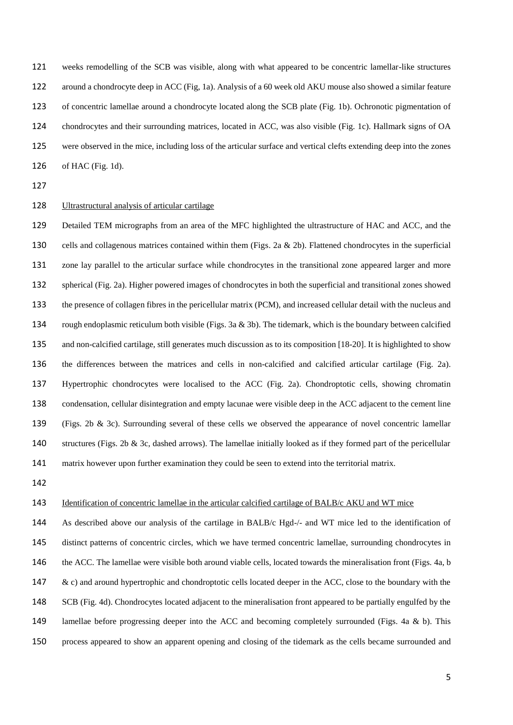weeks remodelling of the SCB was visible, along with what appeared to be concentric lamellar-like structures around a chondrocyte deep in ACC (Fig, 1a). Analysis of a 60 week old AKU mouse also showed a similar feature of concentric lamellae around a chondrocyte located along the SCB plate (Fig. 1b). Ochronotic pigmentation of chondrocytes and their surrounding matrices, located in ACC, was also visible (Fig. 1c). Hallmark signs of OA were observed in the mice, including loss of the articular surface and vertical clefts extending deep into the zones of HAC (Fig. 1d).

# Ultrastructural analysis of articular cartilage

 Detailed TEM micrographs from an area of the MFC highlighted the ultrastructure of HAC and ACC, and the cells and collagenous matrices contained within them (Figs. 2a & 2b). Flattened chondrocytes in the superficial zone lay parallel to the articular surface while chondrocytes in the transitional zone appeared larger and more spherical (Fig. 2a). Higher powered images of chondrocytes in both the superficial and transitional zones showed the presence of collagen fibres in the pericellular matrix (PCM), and increased cellular detail with the nucleus and rough endoplasmic reticulum both visible (Figs. 3a & 3b). The tidemark, which is the boundary between calcified and non-calcified cartilage, still generates much discussion as to its composition [18-20]. It is highlighted to show the differences between the matrices and cells in non-calcified and calcified articular cartilage (Fig. 2a). Hypertrophic chondrocytes were localised to the ACC (Fig. 2a). Chondroptotic cells, showing chromatin condensation, cellular disintegration and empty lacunae were visible deep in the ACC adjacent to the cement line (Figs. 2b & 3c). Surrounding several of these cells we observed the appearance of novel concentric lamellar structures (Figs. 2b & 3c, dashed arrows). The lamellae initially looked as if they formed part of the pericellular matrix however upon further examination they could be seen to extend into the territorial matrix.

## Identification of concentric lamellae in the articular calcified cartilage of BALB/c AKU and WT mice

 As described above our analysis of the cartilage in BALB/c Hgd-/- and WT mice led to the identification of distinct patterns of concentric circles, which we have termed concentric lamellae, surrounding chondrocytes in 146 the ACC. The lamellae were visible both around viable cells, located towards the mineralisation front (Figs. 4a, b  $\&c$  c) and around hypertrophic and chondroptotic cells located deeper in the ACC, close to the boundary with the SCB (Fig. 4d). Chondrocytes located adjacent to the mineralisation front appeared to be partially engulfed by the 149 lamellae before progressing deeper into the ACC and becoming completely surrounded (Figs. 4a & b). This process appeared to show an apparent opening and closing of the tidemark as the cells became surrounded and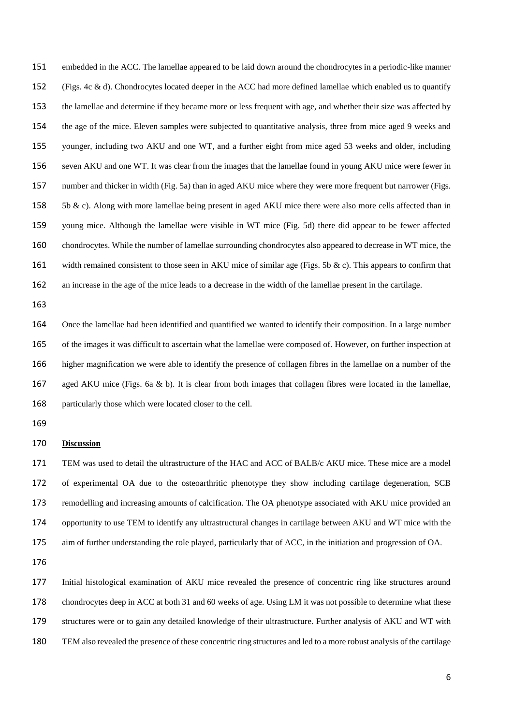embedded in the ACC. The lamellae appeared to be laid down around the chondrocytes in a periodic-like manner (Figs. 4c & d). Chondrocytes located deeper in the ACC had more defined lamellae which enabled us to quantify the lamellae and determine if they became more or less frequent with age, and whether their size was affected by the age of the mice. Eleven samples were subjected to quantitative analysis, three from mice aged 9 weeks and younger, including two AKU and one WT, and a further eight from mice aged 53 weeks and older, including seven AKU and one WT. It was clear from the images that the lamellae found in young AKU mice were fewer in number and thicker in width (Fig. 5a) than in aged AKU mice where they were more frequent but narrower (Figs. 158 5b  $\&$  c). Along with more lamellae being present in aged AKU mice there were also more cells affected than in young mice. Although the lamellae were visible in WT mice (Fig. 5d) there did appear to be fewer affected chondrocytes. While the number of lamellae surrounding chondrocytes also appeared to decrease in WT mice, the 161 width remained consistent to those seen in AKU mice of similar age (Figs. 5b & c). This appears to confirm that an increase in the age of the mice leads to a decrease in the width of the lamellae present in the cartilage.

 Once the lamellae had been identified and quantified we wanted to identify their composition. In a large number of the images it was difficult to ascertain what the lamellae were composed of. However, on further inspection at higher magnification we were able to identify the presence of collagen fibres in the lamellae on a number of the aged AKU mice (Figs. 6a & b). It is clear from both images that collagen fibres were located in the lamellae, particularly those which were located closer to the cell.

#### **Discussion**

 TEM was used to detail the ultrastructure of the HAC and ACC of BALB/c AKU mice. These mice are a model of experimental OA due to the osteoarthritic phenotype they show including cartilage degeneration, SCB remodelling and increasing amounts of calcification. The OA phenotype associated with AKU mice provided an opportunity to use TEM to identify any ultrastructural changes in cartilage between AKU and WT mice with the aim of further understanding the role played, particularly that of ACC, in the initiation and progression of OA.

 Initial histological examination of AKU mice revealed the presence of concentric ring like structures around 178 chondrocytes deep in ACC at both 31 and 60 weeks of age. Using LM it was not possible to determine what these structures were or to gain any detailed knowledge of their ultrastructure. Further analysis of AKU and WT with TEM also revealed the presence of these concentric ring structures and led to a more robust analysis of the cartilage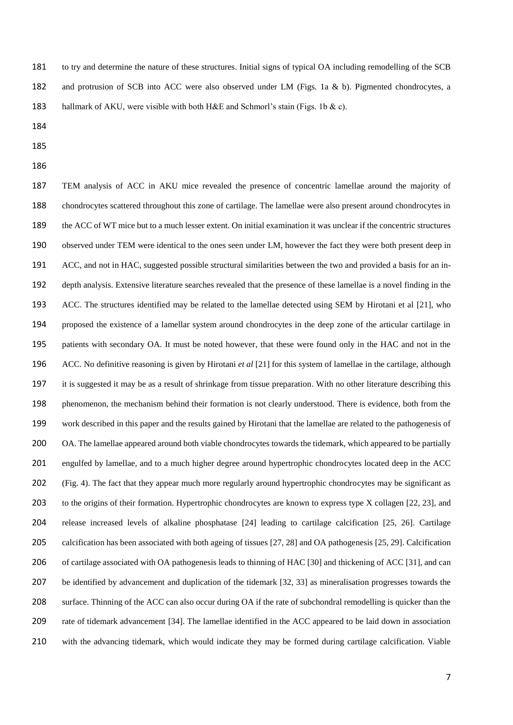to try and determine the nature of these structures. Initial signs of typical OA including remodelling of the SCB and protrusion of SCB into ACC were also observed under LM (Figs. 1a & b). Pigmented chondrocytes, a 183 hallmark of AKU, were visible with both H&E and Schmorl's stain (Figs. 1b & c).

- 
- 
- 

 TEM analysis of ACC in AKU mice revealed the presence of concentric lamellae around the majority of chondrocytes scattered throughout this zone of cartilage. The lamellae were also present around chondrocytes in the ACC of WT mice but to a much lesser extent. On initial examination it was unclear if the concentric structures observed under TEM were identical to the ones seen under LM, however the fact they were both present deep in ACC, and not in HAC, suggested possible structural similarities between the two and provided a basis for an in- depth analysis. Extensive literature searches revealed that the presence of these lamellae is a novel finding in the ACC. The structures identified may be related to the lamellae detected using SEM by Hirotani et al [21], who proposed the existence of a lamellar system around chondrocytes in the deep zone of the articular cartilage in patients with secondary OA. It must be noted however, that these were found only in the HAC and not in the ACC. No definitive reasoning is given by Hirotani *et al* [21] for this system of lamellae in the cartilage, although it is suggested it may be as a result of shrinkage from tissue preparation. With no other literature describing this 198 phenomenon, the mechanism behind their formation is not clearly understood. There is evidence, both from the work described in this paper and the results gained by Hirotani that the lamellae are related to the pathogenesis of 200 OA. The lamellae appeared around both viable chondrocytes towards the tidemark, which appeared to be partially engulfed by lamellae, and to a much higher degree around hypertrophic chondrocytes located deep in the ACC (Fig. 4). The fact that they appear much more regularly around hypertrophic chondrocytes may be significant as to the origins of their formation. Hypertrophic chondrocytes are known to express type X collagen [22, 23], and release increased levels of alkaline phosphatase [24] leading to cartilage calcification [25, 26]. Cartilage calcification has been associated with both ageing of tissues [27, 28] and OA pathogenesis [25, 29]. Calcification 206 of cartilage associated with OA pathogenesis leads to thinning of HAC [30] and thickening of ACC [31], and can be identified by advancement and duplication of the tidemark [32, 33] as mineralisation progresses towards the surface. Thinning of the ACC can also occur during OA if the rate of subchondral remodelling is quicker than the rate of tidemark advancement [34]. The lamellae identified in the ACC appeared to be laid down in association with the advancing tidemark, which would indicate they may be formed during cartilage calcification. Viable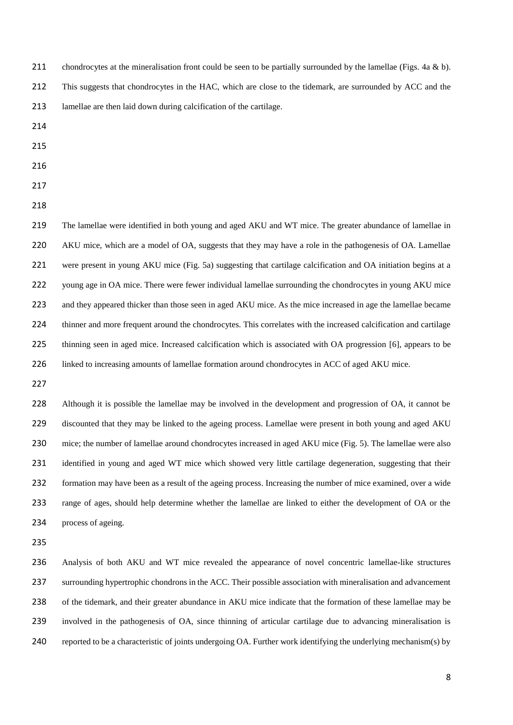211 chondrocytes at the mineralisation front could be seen to be partially surrounded by the lamellae (Figs. 4a & b).

This suggests that chondrocytes in the HAC, which are close to the tidemark, are surrounded by ACC and the

- lamellae are then laid down during calcification of the cartilage.
- 
- 
- 

 The lamellae were identified in both young and aged AKU and WT mice. The greater abundance of lamellae in AKU mice, which are a model of OA, suggests that they may have a role in the pathogenesis of OA. Lamellae were present in young AKU mice (Fig. 5a) suggesting that cartilage calcification and OA initiation begins at a 222 young age in OA mice. There were fewer individual lamellae surrounding the chondrocytes in young AKU mice 223 and they appeared thicker than those seen in aged AKU mice. As the mice increased in age the lamellae became thinner and more frequent around the chondrocytes. This correlates with the increased calcification and cartilage thinning seen in aged mice. Increased calcification which is associated with OA progression [6], appears to be 226 linked to increasing amounts of lamellae formation around chondrocytes in ACC of aged AKU mice.

228 Although it is possible the lamellae may be involved in the development and progression of OA, it cannot be discounted that they may be linked to the ageing process. Lamellae were present in both young and aged AKU mice; the number of lamellae around chondrocytes increased in aged AKU mice (Fig. 5). The lamellae were also 231 identified in young and aged WT mice which showed very little cartilage degeneration, suggesting that their formation may have been as a result of the ageing process. Increasing the number of mice examined, over a wide range of ages, should help determine whether the lamellae are linked to either the development of OA or the process of ageing.

 Analysis of both AKU and WT mice revealed the appearance of novel concentric lamellae-like structures surrounding hypertrophic chondrons in the ACC. Their possible association with mineralisation and advancement of the tidemark, and their greater abundance in AKU mice indicate that the formation of these lamellae may be involved in the pathogenesis of OA, since thinning of articular cartilage due to advancing mineralisation is reported to be a characteristic of joints undergoing OA. Further work identifying the underlying mechanism(s) by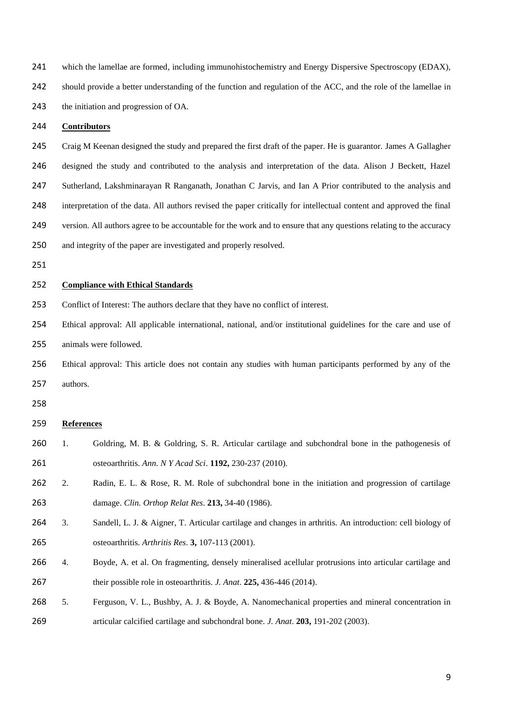| 241 | which the lamellae are formed, including immunohistochemistry and Energy Dispersive Spectroscopy (EDAX),             |                                                                                                                 |  |
|-----|----------------------------------------------------------------------------------------------------------------------|-----------------------------------------------------------------------------------------------------------------|--|
| 242 | should provide a better understanding of the function and regulation of the ACC, and the role of the lamellae in     |                                                                                                                 |  |
| 243 | the initiation and progression of OA.                                                                                |                                                                                                                 |  |
| 244 | <b>Contributors</b>                                                                                                  |                                                                                                                 |  |
| 245 |                                                                                                                      | Craig M Keenan designed the study and prepared the first draft of the paper. He is guarantor. James A Gallagher |  |
| 246 | designed the study and contributed to the analysis and interpretation of the data. Alison J Beckett, Hazel           |                                                                                                                 |  |
| 247 | Sutherland, Lakshminarayan R Ranganath, Jonathan C Jarvis, and Ian A Prior contributed to the analysis and           |                                                                                                                 |  |
| 248 | interpretation of the data. All authors revised the paper critically for intellectual content and approved the final |                                                                                                                 |  |
| 249 | version. All authors agree to be accountable for the work and to ensure that any questions relating to the accuracy  |                                                                                                                 |  |
| 250 | and integrity of the paper are investigated and properly resolved.                                                   |                                                                                                                 |  |
| 251 |                                                                                                                      |                                                                                                                 |  |
| 252 | <b>Compliance with Ethical Standards</b>                                                                             |                                                                                                                 |  |
| 253 | Conflict of Interest: The authors declare that they have no conflict of interest.                                    |                                                                                                                 |  |
| 254 | Ethical approval: All applicable international, national, and/or institutional guidelines for the care and use of    |                                                                                                                 |  |
| 255 | animals were followed.                                                                                               |                                                                                                                 |  |
| 256 | Ethical approval: This article does not contain any studies with human participants performed by any of the          |                                                                                                                 |  |
| 257 | authors.                                                                                                             |                                                                                                                 |  |
| 258 |                                                                                                                      |                                                                                                                 |  |
| 259 | <b>References</b>                                                                                                    |                                                                                                                 |  |
| 260 | 1.                                                                                                                   | Goldring, M. B. & Goldring, S. R. Articular cartilage and subchondral bone in the pathogenesis of               |  |
| 261 |                                                                                                                      | osteoarthritis. Ann. N Y Acad Sci. 1192, 230-237 (2010).                                                        |  |
| 262 | 2.                                                                                                                   | Radin, E. L. & Rose, R. M. Role of subchondral bone in the initiation and progression of cartilage              |  |
| 263 |                                                                                                                      | damage. Clin. Orthop Relat Res. 213, 34-40 (1986).                                                              |  |
| 264 | 3.                                                                                                                   | Sandell, L. J. & Aigner, T. Articular cartilage and changes in arthritis. An introduction: cell biology of      |  |
| 265 |                                                                                                                      | osteoarthritis. Arthritis Res. 3, 107-113 (2001).                                                               |  |
| 266 | 4.                                                                                                                   | Boyde, A. et al. On fragmenting, densely mineralised acellular protrusions into articular cartilage and         |  |
| 267 |                                                                                                                      | their possible role in osteoarthritis. J. Anat. 225, 436-446 (2014).                                            |  |
| 268 | 5.                                                                                                                   | Ferguson, V. L., Bushby, A. J. & Boyde, A. Nanomechanical properties and mineral concentration in               |  |
| 269 |                                                                                                                      | articular calcified cartilage and subchondral bone. J. Anat. 203, 191-202 (2003).                               |  |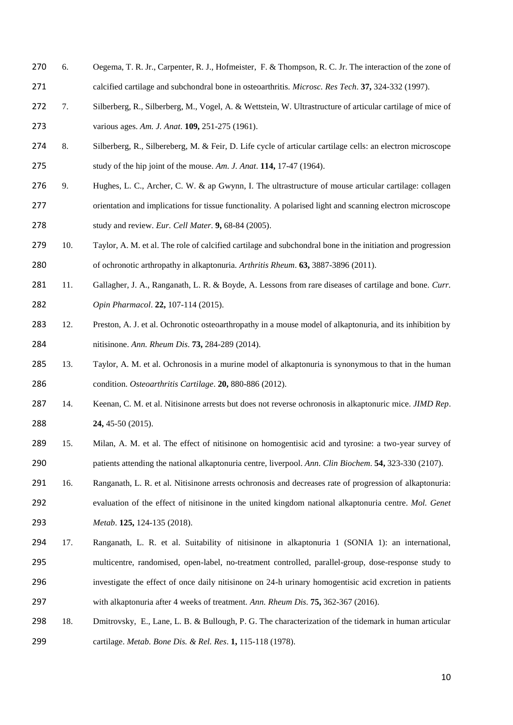- 270 6. Oegema, T. R. Jr., Carpenter, R. J., Hofmeister, F. & Thompson, R. C. Jr. The interaction of the zone of calcified cartilage and subchondral bone in osteoarthritis. *Microsc. Res Tech*. **37,** 324-332 (1997).
- 7. Silberberg, R., Silberberg, M., Vogel, A. & Wettstein, W. Ultrastructure of articular cartilage of mice of various ages. *Am. J. Anat*. **109,** 251-275 (1961).
- 274 8. Silberberg, R., Silbereberg, M. & Feir, D. Life cycle of articular cartilage cells: an electron microscope study of the hip joint of the mouse. *Am. J. Anat*. **114,** 17-47 (1964).
- 276 9. Hughes, L. C., Archer, C. W. & ap Gwynn, I. The ultrastructure of mouse articular cartilage: collagen orientation and implications for tissue functionality. A polarised light and scanning electron microscope study and review. *Eur. Cell Mater*. **9,** 68-84 (2005).
- 10. Taylor, A. M. et al. The role of calcified cartilage and subchondral bone in the initiation and progression of ochronotic arthropathy in alkaptonuria. *Arthritis Rheum*. **63,** 3887-3896 (2011).
- 11. Gallagher, J. A., Ranganath, L. R. & Boyde, A. Lessons from rare diseases of cartilage and bone. *Curr. Opin Pharmacol*. **22,** 107-114 (2015).
- 283 12. Preston, A. J. et al. Ochronotic osteoarthropathy in a mouse model of alkaptonuria, and its inhibition by nitisinone. *Ann. Rheum Dis*. **73,** 284-289 (2014).
- 13. Taylor, A. M. et al. Ochronosis in a murine model of alkaptonuria is synonymous to that in the human condition. *Osteoarthritis Cartilage*. **20,** 880-886 (2012).
- 14. Keenan, C. M. et al. Nitisinone arrests but does not reverse ochronosis in alkaptonuric mice. *JIMD Rep*. **24,** 45-50 (2015).
- 15. Milan, A. M. et al. The effect of nitisinone on homogentisic acid and tyrosine: a two-year survey of patients attending the national alkaptonuria centre, liverpool. *Ann. Clin Biochem*. **54,** 323-330 (2107).
- 16. Ranganath, L. R. et al. Nitisinone arrests ochronosis and decreases rate of progression of alkaptonuria: evaluation of the effect of nitisinone in the united kingdom national alkaptonuria centre. *Mol. Genet Metab*. **125,** 124-135 (2018).
- 17. Ranganath, L. R. et al. Suitability of nitisinone in alkaptonuria 1 (SONIA 1): an international, multicentre, randomised, open-label, no-treatment controlled, parallel-group, dose-response study to investigate the effect of once daily nitisinone on 24-h urinary homogentisic acid excretion in patients with alkaptonuria after 4 weeks of treatment. *Ann. Rheum Dis*. **75,** 362-367 (2016).
- 18. Dmitrovsky, E., Lane, L. B. & Bullough, P. G. The characterization of the tidemark in human articular cartilage. *Metab. Bone Dis. & Rel. Res*. **1,** 115-118 (1978).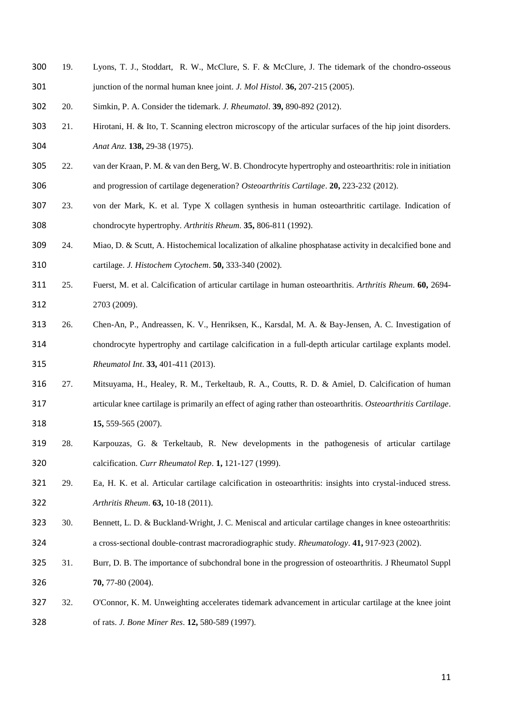- 19. Lyons, T. J., Stoddart, R. W., McClure, S. F. & McClure, J. The tidemark of the chondro-osseous junction of the normal human knee joint. *J. Mol Histol*. **36,** 207-215 (2005).
- 20. Simkin, P. A. Consider the tidemark. *J. Rheumatol*. **39,** 890-892 (2012).
- 21. Hirotani, H. & Ito, T. Scanning electron microscopy of the articular surfaces of the hip joint disorders. *Anat Anz*. **138,** 29-38 (1975).
- 22. van der Kraan, P. M. & van den Berg, W. B. Chondrocyte hypertrophy and osteoarthritis: role in initiation and progression of cartilage degeneration? *Osteoarthritis Cartilage*. **20,** 223-232 (2012).
- 23. von der Mark, K. et al. Type X collagen synthesis in human osteoarthritic cartilage. Indication of chondrocyte hypertrophy. *Arthritis Rheum*. **35,** 806-811 (1992).
- 24. Miao, D. & Scutt, A. Histochemical localization of alkaline phosphatase activity in decalcified bone and cartilage. *J. Histochem Cytochem*. **50,** 333-340 (2002).
- 25. Fuerst, M. et al. Calcification of articular cartilage in human osteoarthritis. *Arthritis Rheum*. **60,** 2694- 2703 (2009).
- 26. Chen-An, P., Andreassen, K. V., Henriksen, K., Karsdal, M. A. & Bay-Jensen, A. C. Investigation of chondrocyte hypertrophy and cartilage calcification in a full-depth articular cartilage explants model. *Rheumatol Int*. **33,** 401-411 (2013).
- 27. Mitsuyama, H., Healey, R. M., Terkeltaub, R. A., Coutts, R. D. & Amiel, D. Calcification of human articular knee cartilage is primarily an effect of aging rather than osteoarthritis. *Osteoarthritis Cartilage*. **15,** 559-565 (2007).
- 28. Karpouzas, G. & Terkeltaub, R. New developments in the pathogenesis of articular cartilage calcification. *Curr Rheumatol Rep*. **1,** 121-127 (1999).
- 29. Ea, H. K. et al. Articular cartilage calcification in osteoarthritis: insights into crystal-induced stress. *Arthritis Rheum*. **63,** 10-18 (2011).
- 323 30. Bennett, L. D. & Buckland-Wright, J. C. Meniscal and articular cartilage changes in knee osteoarthritis:
- a cross‐sectional double‐contrast macroradiographic study. *Rheumatology*. **41,** 917-923 (2002).
- 31. Burr, D. B. The importance of subchondral bone in the progression of osteoarthritis. J Rheumatol Suppl **70,** 77-80 (2004).
- 32. O'Connor, K. M. Unweighting accelerates tidemark advancement in articular cartilage at the knee joint of rats. *J. Bone Miner Res*. **12,** 580-589 (1997).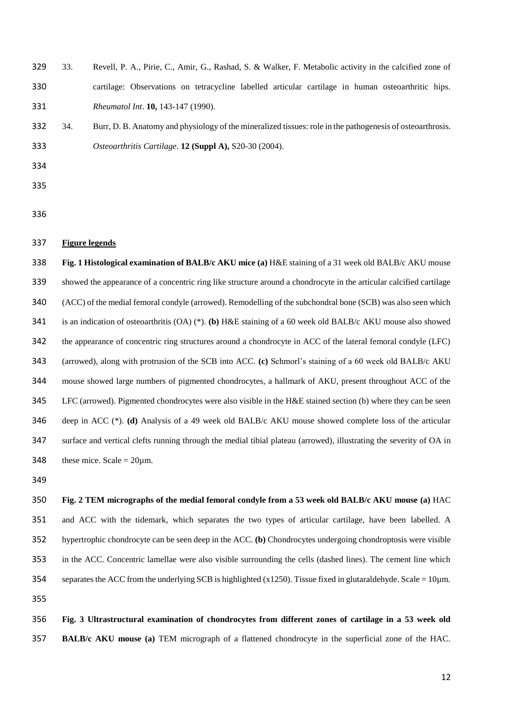33. Revell, P. A., Pirie, C., Amir, G., Rashad, S. & Walker, F. Metabolic activity in the calcified zone of cartilage: Observations on tetracycline labelled articular cartilage in human osteoarthritic hips. *Rheumatol Int*. **10,** 143-147 (1990).

 34. Burr, D. B. Anatomy and physiology of the mineralized tissues: role in the pathogenesis of osteoarthrosis. *Osteoarthritis Cartilage*. **12 (Suppl A),** S20-30 (2004).

#### **Figure legends**

 **Fig. 1 Histological examination of BALB/c AKU mice (a)** H&E staining of a 31 week old BALB/c AKU mouse showed the appearance of a concentric ring like structure around a chondrocyte in the articular calcified cartilage (ACC) of the medial femoral condyle (arrowed). Remodelling of the subchondral bone (SCB) was also seen which is an indication of osteoarthritis (OA) (\*). **(b)** H&E staining of a 60 week old BALB/c AKU mouse also showed the appearance of concentric ring structures around a chondrocyte in ACC of the lateral femoral condyle (LFC) (arrowed), along with protrusion of the SCB into ACC. **(c)** Schmorl's staining of a 60 week old BALB/c AKU mouse showed large numbers of pigmented chondrocytes, a hallmark of AKU, present throughout ACC of the LFC (arrowed). Pigmented chondrocytes were also visible in the H&E stained section (b) where they can be seen deep in ACC (\*). **(d)** Analysis of a 49 week old BALB/c AKU mouse showed complete loss of the articular surface and vertical clefts running through the medial tibial plateau (arrowed), illustrating the severity of OA in 348 these mice. Scale =  $20 \mu$ m.

 **Fig. 2 TEM micrographs of the medial femoral condyle from a 53 week old BALB/c AKU mouse (a)** HAC and ACC with the tidemark, which separates the two types of articular cartilage, have been labelled. A hypertrophic chondrocyte can be seen deep in the ACC. **(b)** Chondrocytes undergoing chondroptosis were visible in the ACC. Concentric lamellae were also visible surrounding the cells (dashed lines). The cement line which 354 separates the ACC from the underlying SCB is highlighted (x1250). Tissue fixed in glutaraldehyde. Scale =  $10 \mu$ m. 

 **Fig. 3 Ultrastructural examination of chondrocytes from different zones of cartilage in a 53 week old BALB/c AKU mouse (a)** TEM micrograph of a flattened chondrocyte in the superficial zone of the HAC.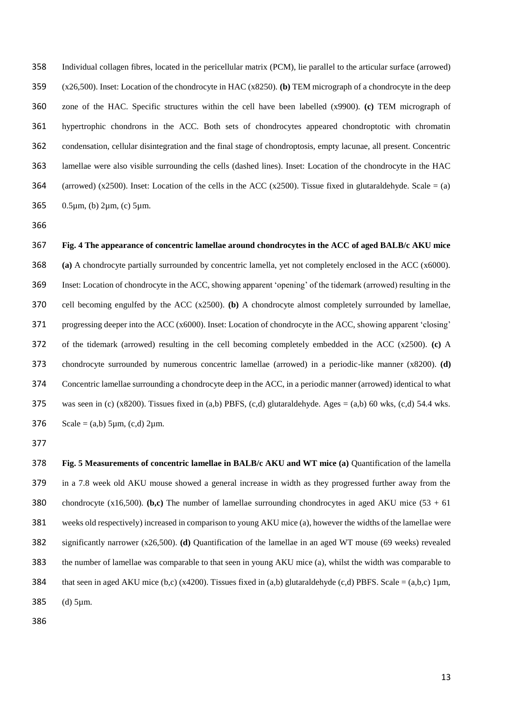Individual collagen fibres, located in the pericellular matrix (PCM), lie parallel to the articular surface (arrowed) (x26,500). Inset: Location of the chondrocyte in HAC (x8250). **(b)** TEM micrograph of a chondrocyte in the deep zone of the HAC. Specific structures within the cell have been labelled (x9900). **(c)** TEM micrograph of hypertrophic chondrons in the ACC. Both sets of chondrocytes appeared chondroptotic with chromatin condensation, cellular disintegration and the final stage of chondroptosis, empty lacunae, all present. Concentric lamellae were also visible surrounding the cells (dashed lines). Inset: Location of the chondrocyte in the HAC 364 (arrowed) (x2500). Inset: Location of the cells in the ACC (x2500). Tissue fixed in glutaraldehyde. Scale = (a) 0.5µm, (b) 2µm, (c) 5µm.

 **Fig. 4 The appearance of concentric lamellae around chondrocytes in the ACC of aged BALB/c AKU mice (a)** A chondrocyte partially surrounded by concentric lamella, yet not completely enclosed in the ACC (x6000). Inset: Location of chondrocyte in the ACC, showing apparent 'opening' of the tidemark (arrowed) resulting in the cell becoming engulfed by the ACC (x2500). **(b)** A chondrocyte almost completely surrounded by lamellae, progressing deeper into the ACC (x6000). Inset: Location of chondrocyte in the ACC, showing apparent 'closing' of the tidemark (arrowed) resulting in the cell becoming completely embedded in the ACC (x2500). **(c)** A chondrocyte surrounded by numerous concentric lamellae (arrowed) in a periodic-like manner (x8200). **(d)** Concentric lamellae surrounding a chondrocyte deep in the ACC, in a periodic manner (arrowed) identical to what 375 was seen in (c) (x8200). Tissues fixed in (a,b) PBFS, (c,d) glutaraldehyde. Ages = (a,b) 60 wks, (c,d) 54.4 wks. 376 Scale = (a,b) 5 $\mu$ m, (c,d) 2 $\mu$ m.

 **Fig. 5 Measurements of concentric lamellae in BALB/c AKU and WT mice (a)** Quantification of the lamella in a 7.8 week old AKU mouse showed a general increase in width as they progressed further away from the 380 chondrocyte (x16,500). **(b,c)** The number of lamellae surrounding chondrocytes in aged AKU mice  $(53 + 61)$  weeks old respectively) increased in comparison to young AKU mice (a), however the widths of the lamellae were significantly narrower (x26,500). **(d)** Quantification of the lamellae in an aged WT mouse (69 weeks) revealed the number of lamellae was comparable to that seen in young AKU mice (a), whilst the width was comparable to 384 that seen in aged AKU mice (b,c) (x4200). Tissues fixed in (a,b) glutaraldehyde (c,d) PBFS. Scale = (a,b,c)  $1 \mu m$ , (d) 5µm.